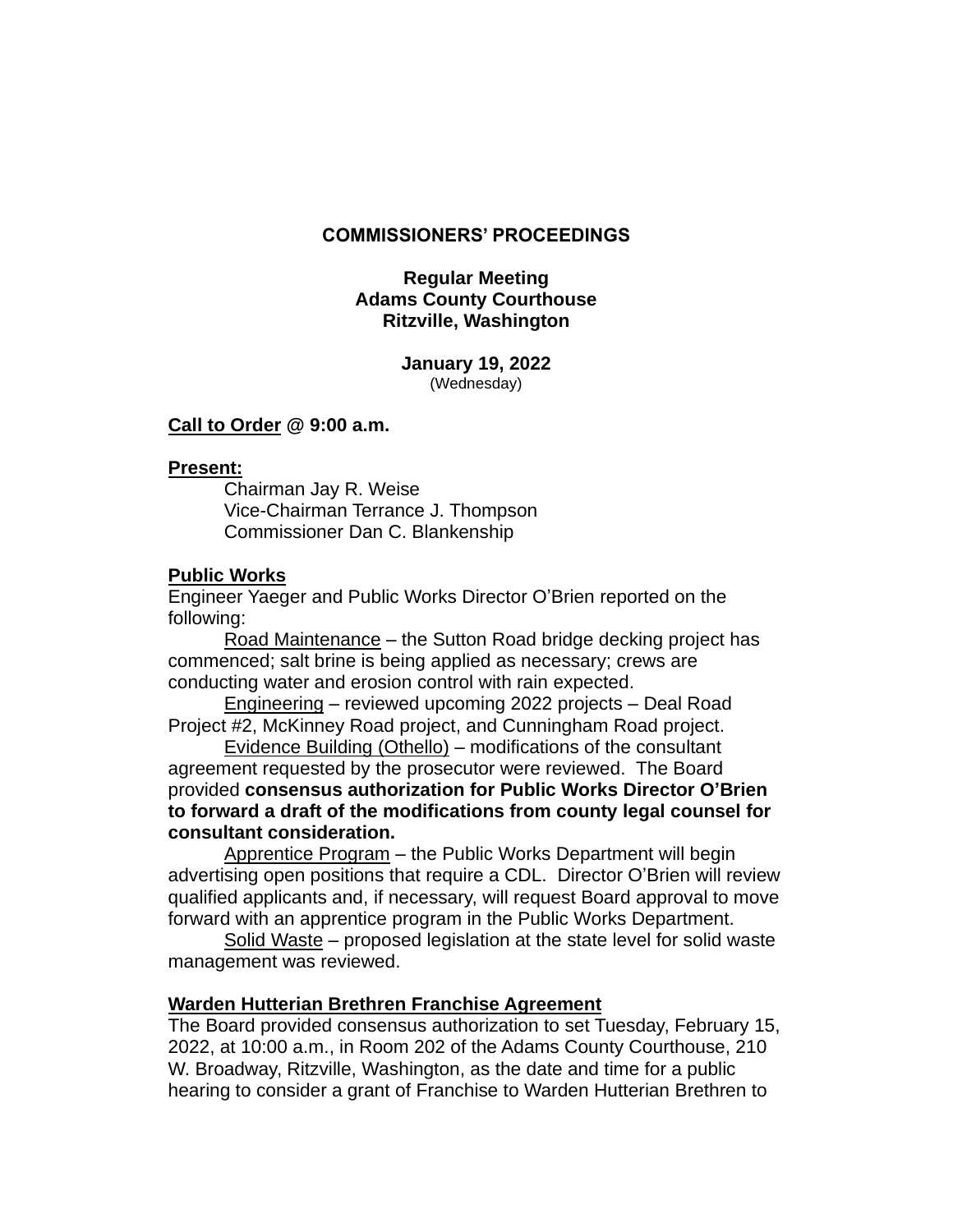### **COMMISSIONERS' PROCEEDINGS**

### **Regular Meeting Adams County Courthouse Ritzville, Washington**

**January 19, 2022** (Wednesday)

### **Call to Order @ 9:00 a.m.**

#### **Present:**

Chairman Jay R. Weise Vice-Chairman Terrance J. Thompson Commissioner Dan C. Blankenship

### **Public Works**

Engineer Yaeger and Public Works Director O'Brien reported on the following:

Road Maintenance – the Sutton Road bridge decking project has commenced; salt brine is being applied as necessary; crews are conducting water and erosion control with rain expected.

Engineering – reviewed upcoming 2022 projects – Deal Road Project #2, McKinney Road project, and Cunningham Road project.

Evidence Building (Othello) – modifications of the consultant agreement requested by the prosecutor were reviewed. The Board provided **consensus authorization for Public Works Director O'Brien to forward a draft of the modifications from county legal counsel for consultant consideration.**

Apprentice Program – the Public Works Department will begin advertising open positions that require a CDL. Director O'Brien will review qualified applicants and, if necessary, will request Board approval to move forward with an apprentice program in the Public Works Department.

Solid Waste – proposed legislation at the state level for solid waste management was reviewed.

### **Warden Hutterian Brethren Franchise Agreement**

The Board provided consensus authorization to set Tuesday, February 15, 2022, at 10:00 a.m., in Room 202 of the Adams County Courthouse, 210 W. Broadway, Ritzville, Washington, as the date and time for a public hearing to consider a grant of Franchise to Warden Hutterian Brethren to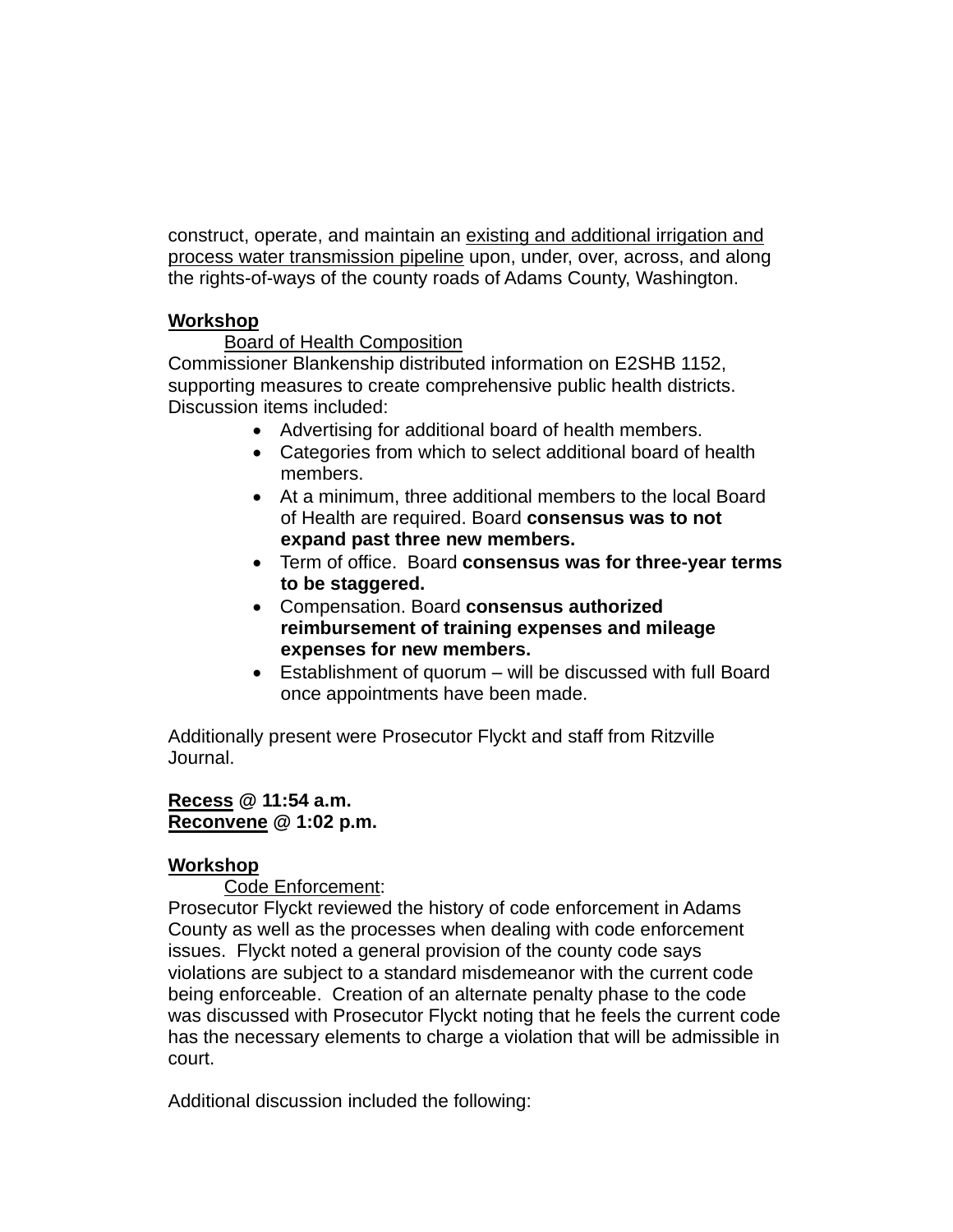construct, operate, and maintain an existing and additional irrigation and process water transmission pipeline upon, under, over, across, and along the rights-of-ways of the county roads of Adams County, Washington.

## **Workshop**

## Board of Health Composition

Commissioner Blankenship distributed information on E2SHB 1152, supporting measures to create comprehensive public health districts. Discussion items included:

- Advertising for additional board of health members.
- Categories from which to select additional board of health members.
- At a minimum, three additional members to the local Board of Health are required. Board **consensus was to not expand past three new members.**
- Term of office. Board **consensus was for three-year terms to be staggered.**
- Compensation. Board **consensus authorized reimbursement of training expenses and mileage expenses for new members.**
- Establishment of quorum will be discussed with full Board once appointments have been made.

Additionally present were Prosecutor Flyckt and staff from Ritzville Journal.

### **Recess @ 11:54 a.m. Reconvene @ 1:02 p.m.**

# **Workshop**

Code Enforcement:

Prosecutor Flyckt reviewed the history of code enforcement in Adams County as well as the processes when dealing with code enforcement issues. Flyckt noted a general provision of the county code says violations are subject to a standard misdemeanor with the current code being enforceable. Creation of an alternate penalty phase to the code was discussed with Prosecutor Flyckt noting that he feels the current code has the necessary elements to charge a violation that will be admissible in court.

Additional discussion included the following: